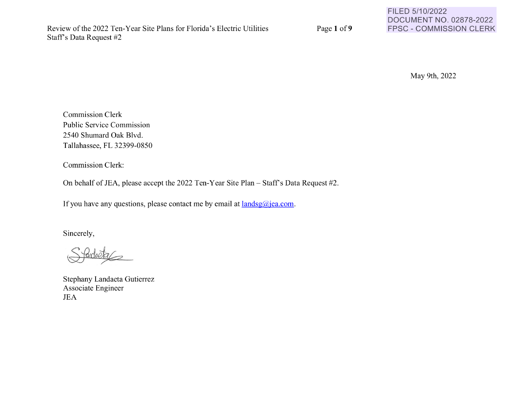Page 1 of 9

FILED 5/10/2022 DOCUMENT NO. 02878-2022 FPSC - COMMISSION CLERK

May 9th, 2022

Commission Clerk Public Service Commission 2540 Shumard Oak Blvd. Tallahassee, FL 32399-0850

Commission Clerk:

On behalf of JEA, please accept the 2022 Ten-Year Site Plan - Staff's Data Request #2.

If you have any questions, please contact me by email at **landsg@jea.com**.

Sincerely,

Stephany Landaeta Gutierrez Associate Engineer JEA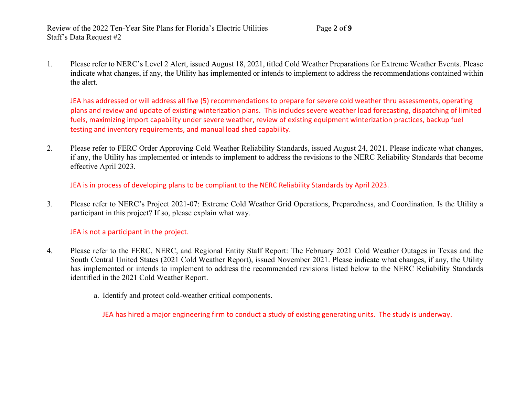Review of the 2022 Ten-Year Site Plans for Florida's Electric Utilities Page **2** of **9** Staff's Data Request #2

1. Please refer to NERC's Level 2 Alert, issued August 18, 2021, titled Cold Weather Preparations for Extreme Weather Events. Please indicate what changes, if any, the Utility has implemented or intends to implement to address the recommendations contained within the alert.

JEA has addressed or will address all five (5) recommendations to prepare for severe cold weather thru assessments, operating plans and review and update of existing winterization plans. This includes severe weather load forecasting, dispatching of limited fuels, maximizing import capability under severe weather, review of existing equipment winterization practices, backup fuel testing and inventory requirements, and manual load shed capability.

2. Please refer to FERC Order Approving Cold Weather Reliability Standards, issued August 24, 2021. Please indicate what changes, if any, the Utility has implemented or intends to implement to address the revisions to the NERC Reliability Standards that become effective April 2023.

JEA is in process of developing plans to be compliant to the NERC Reliability Standards by April 2023.

3. Please refer to NERC's Project 2021-07: Extreme Cold Weather Grid Operations, Preparedness, and Coordination. Is the Utility a participant in this project? If so, please explain what way.

## JEA is not a participant in the project.

- 4. Please refer to the FERC, NERC, and Regional Entity Staff Report: The February 2021 Cold Weather Outages in Texas and the South Central United States (2021 Cold Weather Report), issued November 2021. Please indicate what changes, if any, the Utility has implemented or intends to implement to address the recommended revisions listed below to the NERC Reliability Standards identified in the 2021 Cold Weather Report.
	- a. Identify and protect cold-weather critical components.

JEA has hired a major engineering firm to conduct a study of existing generating units. The study is underway.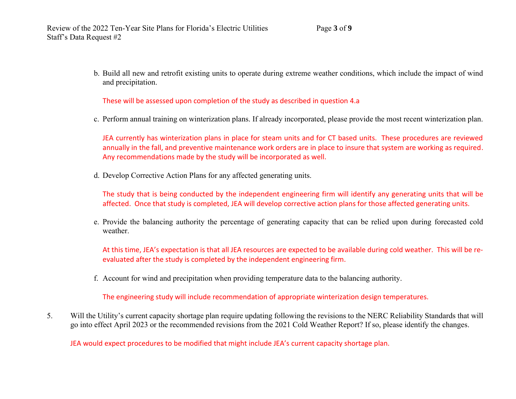b. Build all new and retrofit existing units to operate during extreme weather conditions, which include the impact of wind and precipitation.

These will be assessed upon completion of the study as described in question 4.a

c. Perform annual training on winterization plans. If already incorporated, please provide the most recent winterization plan.

JEA currently has winterization plans in place for steam units and for CT based units. These procedures are reviewed annually in the fall, and preventive maintenance work orders are in place to insure that system are working as required. Any recommendations made by the study will be incorporated as well.

d. Develop Corrective Action Plans for any affected generating units.

The study that is being conducted by the independent engineering firm will identify any generating units that will be affected. Once that study is completed, JEA will develop corrective action plans for those affected generating units.

e. Provide the balancing authority the percentage of generating capacity that can be relied upon during forecasted cold weather.

At this time, JEA's expectation is that all JEA resources are expected to be available during cold weather. This will be reevaluated after the study is completed by the independent engineering firm.

f. Account for wind and precipitation when providing temperature data to the balancing authority.

The engineering study will include recommendation of appropriate winterization design temperatures.

5. Will the Utility's current capacity shortage plan require updating following the revisions to the NERC Reliability Standards that will go into effect April 2023 or the recommended revisions from the 2021 Cold Weather Report? If so, please identify the changes.

JEA would expect procedures to be modified that might include JEA's current capacity shortage plan.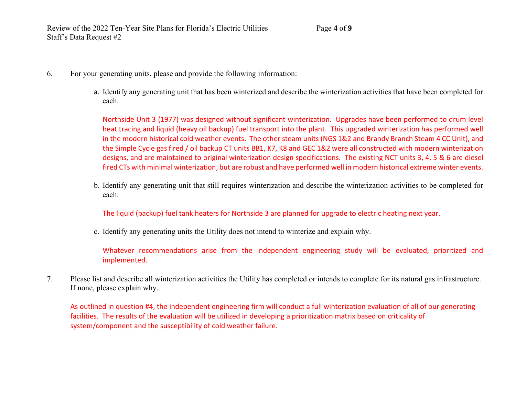- 6. For your generating units, please and provide the following information:
	- a. Identify any generating unit that has been winterized and describe the winterization activities that have been completed for each.

Northside Unit 3 (1977) was designed without significant winterization. Upgrades have been performed to drum level heat tracing and liquid (heavy oil backup) fuel transport into the plant. This upgraded winterization has performed well in the modern historical cold weather events. The other steam units (NGS 1&2 and Brandy Branch Steam 4 CC Unit), and the Simple Cycle gas fired / oil backup CT units BB1, K7, K8 and GEC 1&2 were all constructed with modern winterization designs, and are maintained to original winterization design specifications. The existing NCT units 3, 4, 5 & 6 are diesel fired CTs with minimal winterization, but are robust and have performed well in modern historical extreme winter events.

b. Identify any generating unit that still requires winterization and describe the winterization activities to be completed for each.

The liquid (backup) fuel tank heaters for Northside 3 are planned for upgrade to electric heating next year.

c. Identify any generating units the Utility does not intend to winterize and explain why.

Whatever recommendations arise from the independent engineering study will be evaluated, prioritized and implemented.

7. Please list and describe all winterization activities the Utility has completed or intends to complete for its natural gas infrastructure. If none, please explain why.

As outlined in question #4, the independent engineering firm will conduct a full winterization evaluation of all of our generating facilities. The results of the evaluation will be utilized in developing a prioritization matrix based on criticality of system/component and the susceptibility of cold weather failure.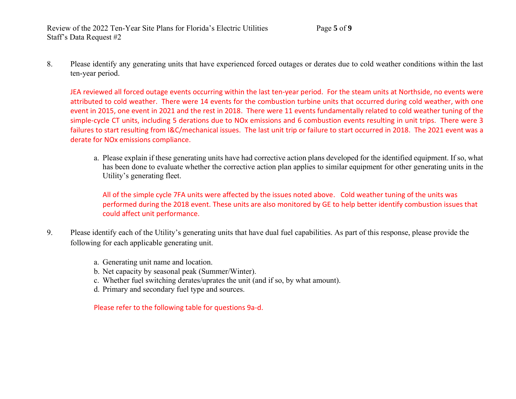8. Please identify any generating units that have experienced forced outages or derates due to cold weather conditions within the last ten-year period.

JEA reviewed all forced outage events occurring within the last ten-year period. For the steam units at Northside, no events were attributed to cold weather. There were 14 events for the combustion turbine units that occurred during cold weather, with one event in 2015, one event in 2021 and the rest in 2018. There were 11 events fundamentally related to cold weather tuning of the simple-cycle CT units, including 5 derations due to NOx emissions and 6 combustion events resulting in unit trips. There were 3 failures to start resulting from I&C/mechanical issues. The last unit trip or failure to start occurred in 2018. The 2021 event was a derate for NOx emissions compliance.

a. Please explain if these generating units have had corrective action plans developed for the identified equipment. If so, what has been done to evaluate whether the corrective action plan applies to similar equipment for other generating units in the Utility's generating fleet.

All of the simple cycle 7FA units were affected by the issues noted above. Cold weather tuning of the units was performed during the 2018 event. These units are also monitored by GE to help better identify combustion issues that could affect unit performance.

- 9. Please identify each of the Utility's generating units that have dual fuel capabilities. As part of this response, please provide the following for each applicable generating unit.
	- a. Generating unit name and location.
	- b. Net capacity by seasonal peak (Summer/Winter).
	- c. Whether fuel switching derates/uprates the unit (and if so, by what amount).
	- d. Primary and secondary fuel type and sources.

Please refer to the following table for questions 9a-d.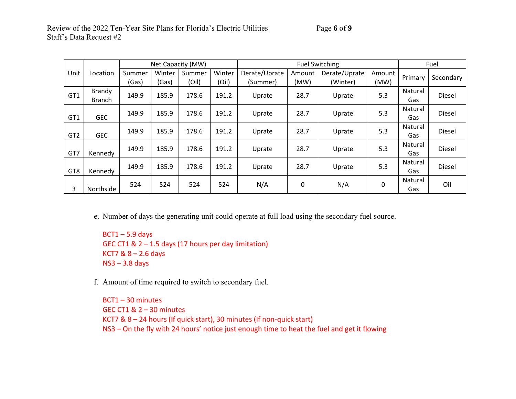|                 |               | Net Capacity (MW) |        |        |        | <b>Fuel Switching</b> |        |               |        | Fuel    |           |
|-----------------|---------------|-------------------|--------|--------|--------|-----------------------|--------|---------------|--------|---------|-----------|
| Unit            | Location      | Summer            | Winter | Summer | Winter | Derate/Uprate         | Amount | Derate/Uprate | Amount | Primary |           |
|                 |               | (Gas)             | (Gas)  | (Oil)  | (Oil)  | (Summer)              | (MW)   | (Winter)      | (MW)   |         | Secondary |
| GT1             | Brandy        | 149.9             | 185.9  | 178.6  | 191.2  | Uprate                | 28.7   | Uprate        | 5.3    | Natural | Diesel    |
|                 | <b>Branch</b> |                   |        |        |        |                       |        |               |        | Gas     |           |
|                 |               | 149.9             | 185.9  | 178.6  | 191.2  | Uprate                | 28.7   | Uprate        | 5.3    | Natural | Diesel    |
| GT <sub>1</sub> | <b>GEC</b>    |                   |        |        |        |                       |        |               |        | Gas     |           |
|                 |               | 149.9             | 185.9  | 178.6  | 191.2  |                       | 28.7   |               | 5.3    | Natural | Diesel    |
| GT <sub>2</sub> | <b>GEC</b>    |                   |        |        |        | Uprate                |        | Uprate        |        | Gas     |           |
|                 |               | 149.9             | 185.9  | 178.6  | 191.2  |                       | 28.7   |               | 5.3    | Natural | Diesel    |
| GT7             | Kennedy       |                   |        |        |        | Uprate                |        | Uprate        |        | Gas     |           |
|                 |               | 149.9             | 185.9  | 178.6  | 191.2  |                       | 28.7   |               | 5.3    | Natural | Diesel    |
| GT <sub>8</sub> | Kennedy       |                   |        |        |        | Uprate                |        | Uprate        |        | Gas     |           |
|                 |               | 524               | 524    | 524    | 524    | N/A                   | 0      | N/A           | 0      | Natural | Oil       |
| 3               | Northside     |                   |        |        |        |                       |        |               |        | Gas     |           |

e. Number of days the generating unit could operate at full load using the secondary fuel source.

 $BCT1 - 5.9$  days GEC CT1 & 2 – 1.5 days (17 hours per day limitation) KCT7  $& 8 - 2.6$  days NS3 – 3.8 days

f. Amount of time required to switch to secondary fuel.

BCT1 – 30 minutes GEC CT1 & 2 – 30 minutes KCT7 & 8 – 24 hours (If quick start), 30 minutes (If non-quick start) NS3 – On the fly with 24 hours' notice just enough time to heat the fuel and get it flowing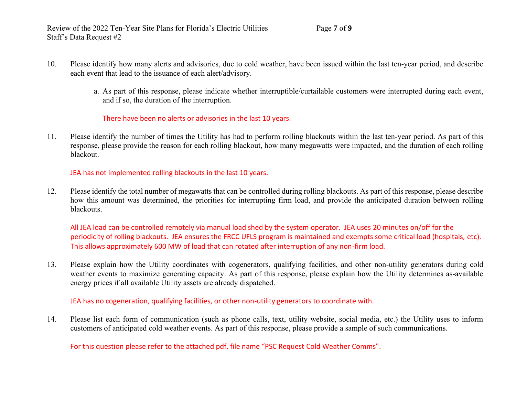- 10. Please identify how many alerts and advisories, due to cold weather, have been issued within the last ten-year period, and describe each event that lead to the issuance of each alert/advisory.
	- a. As part of this response, please indicate whether interruptible/curtailable customers were interrupted during each event, and if so, the duration of the interruption.

There have been no alerts or advisories in the last 10 years.

11. Please identify the number of times the Utility has had to perform rolling blackouts within the last ten-year period. As part of this response, please provide the reason for each rolling blackout, how many megawatts were impacted, and the duration of each rolling blackout.

JEA has not implemented rolling blackouts in the last 10 years.

12. Please identify the total number of megawatts that can be controlled during rolling blackouts. As part of this response, please describe how this amount was determined, the priorities for interrupting firm load, and provide the anticipated duration between rolling blackouts.

All JEA load can be controlled remotely via manual load shed by the system operator. JEA uses 20 minutes on/off for the periodicity of rolling blackouts. JEA ensures the FRCC UFLS program is maintained and exempts some critical load (hospitals, etc). This allows approximately 600 MW of load that can rotated after interruption of any non-firm load.

13. Please explain how the Utility coordinates with cogenerators, qualifying facilities, and other non-utility generators during cold weather events to maximize generating capacity. As part of this response, please explain how the Utility determines as-available energy prices if all available Utility assets are already dispatched.

JEA has no cogeneration, qualifying facilities, or other non-utility generators to coordinate with.

14. Please list each form of communication (such as phone calls, text, utility website, social media, etc.) the Utility uses to inform customers of anticipated cold weather events. As part of this response, please provide a sample of such communications.

For this question please refer to the attached pdf. file name "PSC Request Cold Weather Comms".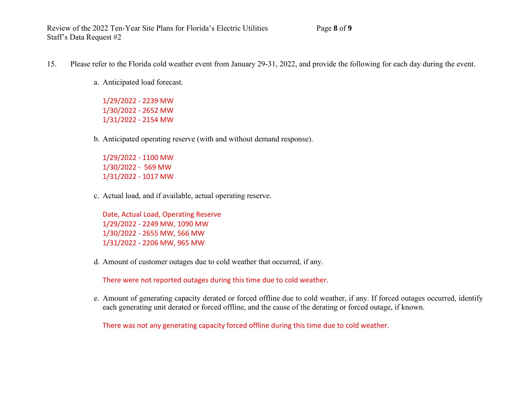- 15. Please refer to the Florida cold weather event from January 29-31, 2022, and provide the following for each day during the event.
	- a. Anticipated load forecast.

1/29/2022 - 2239 MW 1/30/2022 - 2652 MW 1/31/2022 - 2154 MW

b. Anticipated operating reserve (with and without demand response).

1/29/2022 - 1100 MW 1/30/2022 - 569 MW 1/31/2022 - 1017 MW

c. Actual load, and if available, actual operating reserve.

Date, Actual Load, Operating Reserve 1/29/2022 - 2249 MW, 1090 MW 1/30/2022 - 2655 MW, 566 MW 1/31/2022 - 2206 MW, 965 MW

d. Amount of customer outages due to cold weather that occurred, if any.

There were not reported outages during this time due to cold weather.

e. Amount of generating capacity derated or forced offline due to cold weather, if any. If forced outages occurred, identify each generating unit derated or forced offline, and the cause of the derating or forced outage, if known.

There was not any generating capacity forced offline during this time due to cold weather.